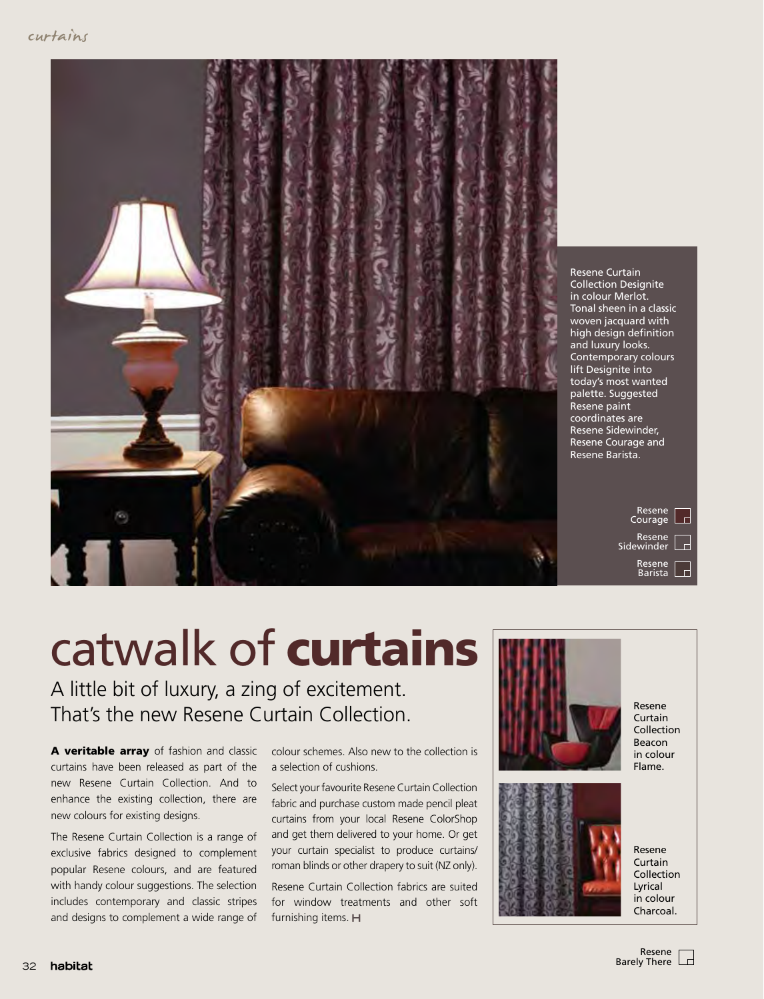

Resene Curtain Collection Designite in colour Merlot. Tonal sheen in a classic woven jacquard with high design definition and luxury looks. Contemporary colours lift Designite into today's most wanted palette. Suggested Resene paint coordinates are Resene Sidewinder, Resene Courage and Resene Barista.

> Resene  $\overline{\phantom{a}}$ **Courage** Resene Sidewinder Resene Barista

## catwalk of curtains

A little bit of luxury, a zing of excitement. That's the new Resene Curtain Collection.

A veritable array of fashion and classic curtains have been released as part of the new Resene Curtain Collection. And to enhance the existing collection, there are new colours for existing designs.

The Resene Curtain Collection is a range of exclusive fabrics designed to complement popular Resene colours, and are featured with handy colour suggestions. The selection includes contemporary and classic stripes and designs to complement a wide range of colour schemes. Also new to the collection is a selection of cushions.

Select your favourite Resene Curtain Collection fabric and purchase custom made pencil pleat curtains from your local Resene ColorShop and get them delivered to your home. Or get your curtain specialist to produce curtains/ roman blinds or other drapery to suit (NZ only).

Resene Curtain Collection fabrics are suited for window treatments and other soft furnishing items. H





Resene Curtain Collection Beacon in colour Flame.

Resene Curtain Collection Lyrical in colour Charcoal.